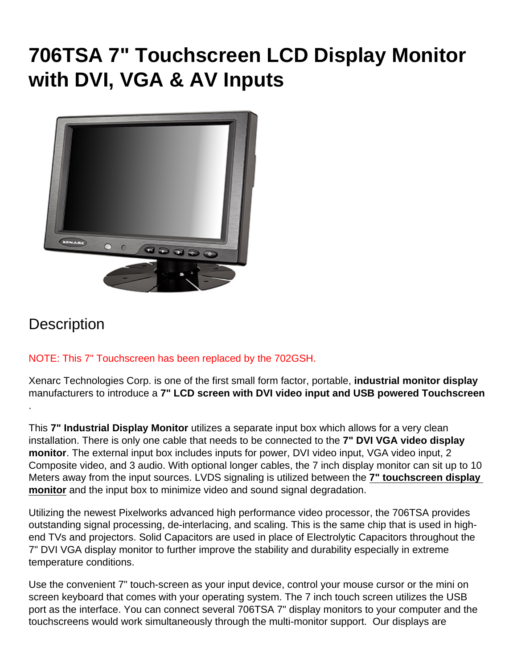# 706TSA 7" Touchscreen LCD Display Monitor with DVI, VGA & AV Inputs

#### **Description**

NOTE: This 7" Touchscreen has been replaced by the [702GSH](//www.xenarc.com/702GSH.html).

Xenarc Technologies Corp. is one of the first small form factor, portable, industrial monitor display manufacturers to introduce a 7" LCD screen with DVI video input and USB powered Touchscreen .

This 7" Industrial Display Monitor utilizes a separate input box which allows for a very clean installation. There is only one cable that needs to be connected to the 7" DVI VGA video display monitor . The external input box includes inputs for power, DVI video input, VGA video input, 2 Composite video, and 3 audio. With optional longer cables, the 7 inch display monitor can sit up to 10 Meters away from the input sources. LVDS signaling is utilized between the 7" touchscreen display monitor and the input box to minimize video and sound signal degradation.

Utilizing the newest Pixelworks advanced high performance video processor, the 706TSA provides outstanding signal processing, de-interlacing, and scaling. This is the same chip that is used in highend TVs and projectors. Solid Capacitors are used in place of Electrolytic Capacitors throughout the 7" DVI VGA display monitor to further improve the stability and durability especially in extreme temperature conditions.

Use the convenient 7" touch-screen as your input device, control your mouse cursor or the mini on screen keyboard that comes with your operating system. The 7 inch touch screen utilizes the USB port as the interface. You can connect several 706TSA 7" display monitors to your computer and the touchscreens would work simultaneously through the multi-monitor support. Our displays are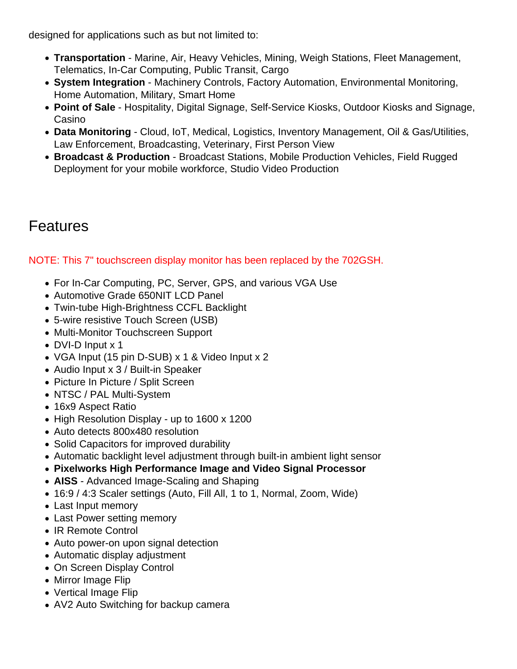designed for applications such as but not limited to:

- [Transportation](https://www.xenarc.com/in-vehicle-display-monitors-fleet-transportation-management.html) - [Marine](https://www.xenarc.com/marine-outdoor-waterproof-display-monitors.html), Air, Heavy Vehicles, Mining, Weigh Stations, Fleet Management, Telematics, In-Car Computing, Public Transit, Cargo
- [System Integration](https://www.xenarc.com/system-integration-industrial-display-monitors.html) Machinery Controls, Factory Automation, Environmental Monitoring, Home Automation, Military, Smart Home
- [Point of Sale](https://www.xenarc.com/pos-touchscreen-display-monitors.html)  Hospitality, [Digital Signage](https://www.xenarc.com/casino-gaming-and-digital-signage-display-monitors.html), Self-Service Kiosks, Outdoor Kiosks and Signage, Casino
- Data Monitoring Cloud, IoT, [Medical](https://www.xenarc.com/medical-grade-touchscreen-display-monitors.html), Logistics, Inventory Management, Oil & Gas/Utilities, Law Enforcement, Broadcasting, Veterinary, First Person View
- [Broadcast & Production](https://www.xenarc.com/1219GNS-12.1-inch-sunlight-readable-IP67-IK08-optically-bonded-capacitive-touchscreen-with-SDI-HDMI-DVI-VGA-AV-Inputs-hdmi-sdi-video-output.html) Broadcast Stations, Mobile Production Vehicles, Field Rugged Deployment for your mobile workforce, Studio Video Production

## Features

NOTE: This 7" touchscreen display monitor has been replaced by the [702GSH](//www.xenarc.com/702GSH.html).

- For In-Car Computing, PC, Server, GPS, and various VGA Use
- Automotive Grade 650NIT LCD Panel
- Twin-tube High-Brightness CCFL Backlight
- 5-wire resistive Touch Screen (USB)
- Multi-Monitor Touchscreen Support
- DVI-D Input x 1
- VGA Input (15 pin D-SUB) x 1 & Video Input x 2
- Audio Input x 3 / Built-in Speaker
- Picture In Picture / Split Screen
- NTSC / PAL Multi-System
- 16x9 Aspect Ratio
- High Resolution Display up to 1600 x 1200
- Auto detects 800x480 resolution
- Solid Capacitors for improved durability
- Automatic backlight level adjustment through built-in ambient light sensor
- Pixelworks High Performance Image and Video Signal Processor
- AISS Advanced Image-Scaling and Shaping
- 16:9 / 4:3 Scaler settings (Auto, Fill All, 1 to 1, Normal, Zoom, Wide)
- Last Input memory
- Last Power setting memory
- IR Remote Control
- Auto power-on upon signal detection
- Automatic display adjustment
- On Screen Display Control
- Mirror Image Flip
- Vertical Image Flip
- AV2 Auto Switching for backup camera